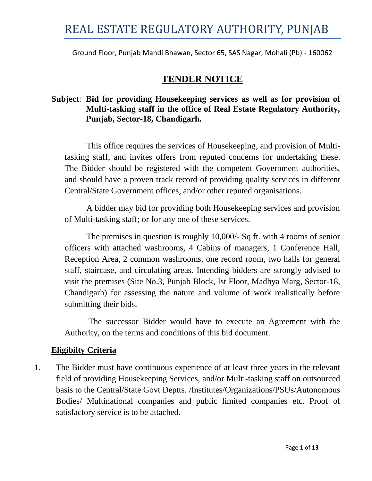Ground Floor, Punjab Mandi Bhawan, Sector 65, SAS Nagar, Mohali (Pb) - 160062

## **TENDER NOTICE**

## **Subject**: **Bid for providing Housekeeping services as well as for provision of Multi-tasking staff in the office of Real Estate Regulatory Authority, Punjab, Sector-18, Chandigarh.**

This office requires the services of Housekeeping, and provision of Multitasking staff, and invites offers from reputed concerns for undertaking these. The Bidder should be registered with the competent Government authorities, and should have a proven track record of providing quality services in different Central/State Government offices, and/or other reputed organisations.

A bidder may bid for providing both Housekeeping services and provision of Multi-tasking staff; or for any one of these services.

The premises in question is roughly 10,000/- Sq ft. with 4 rooms of senior officers with attached washrooms, 4 Cabins of managers, 1 Conference Hall, Reception Area, 2 common washrooms, one record room, two halls for general staff, staircase, and circulating areas. Intending bidders are strongly advised to visit the premises (Site No.3, Punjab Block, Ist Floor, Madhya Marg, Sector-18, Chandigarh) for assessing the nature and volume of work realistically before submitting their bids.

The successor Bidder would have to execute an Agreement with the Authority, on the terms and conditions of this bid document.

### **Eligibilty Criteria**

1. The Bidder must have continuous experience of at least three years in the relevant field of providing Housekeeping Services, and/or Multi-tasking staff on outsourced basis to the Central/State Govt Deptts. /Institutes/Organizations/PSUs/Autonomous Bodies/ Multinational companies and public limited companies etc. Proof of satisfactory service is to be attached.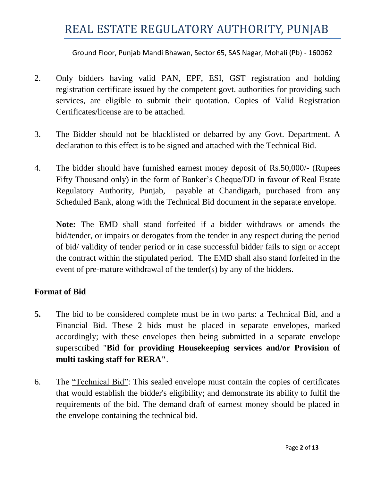Ground Floor, Punjab Mandi Bhawan, Sector 65, SAS Nagar, Mohali (Pb) - 160062

- 2. Only bidders having valid PAN, EPF, ESI, GST registration and holding registration certificate issued by the competent govt. authorities for providing such services, are eligible to submit their quotation. Copies of Valid Registration Certificates/license are to be attached.
- 3. The Bidder should not be blacklisted or debarred by any Govt. Department. A declaration to this effect is to be signed and attached with the Technical Bid.
- 4. The bidder should have furnished earnest money deposit of Rs.50,000/- (Rupees Fifty Thousand only) in the form of Banker's Cheque/DD in favour of Real Estate Regulatory Authority, Punjab, payable at Chandigarh, purchased from any Scheduled Bank, along with the Technical Bid document in the separate envelope.

**Note:** The EMD shall stand forfeited if a bidder withdraws or amends the bid/tender, or impairs or derogates from the tender in any respect during the period of bid/ validity of tender period or in case successful bidder fails to sign or accept the contract within the stipulated period. The EMD shall also stand forfeited in the event of pre-mature withdrawal of the tender(s) by any of the bidders.

### **Format of Bid**

- **5.** The bid to be considered complete must be in two parts: a Technical Bid, and a Financial Bid. These 2 bids must be placed in separate envelopes, marked accordingly; with these envelopes then being submitted in a separate envelope superscribed "**Bid for providing Housekeeping services and/or Provision of multi tasking staff for RERA"**.
- 6. The "Technical Bid": This sealed envelope must contain the copies of certificates that would establish the bidder's eligibility; and demonstrate its ability to fulfil the requirements of the bid. The demand draft of earnest money should be placed in the envelope containing the technical bid.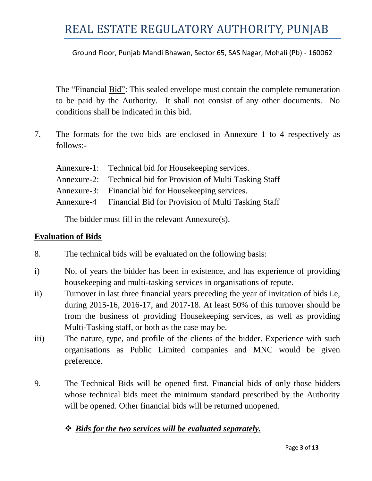Ground Floor, Punjab Mandi Bhawan, Sector 65, SAS Nagar, Mohali (Pb) - 160062

The "Financial Bid": This sealed envelope must contain the complete remuneration to be paid by the Authority. It shall not consist of any other documents. No conditions shall be indicated in this bid.

7. The formats for the two bids are enclosed in Annexure 1 to 4 respectively as follows:-

| Annexure-1: Technical bid for Housekeeping services.           |
|----------------------------------------------------------------|
| Annexure-2: Technical bid for Provision of Multi Tasking Staff |
| Annexure-3: Financial bid for Housekeeping services.           |
| Annexure-4 Financial Bid for Provision of Multi Tasking Staff  |

The bidder must fill in the relevant Annexure(s).

### **Evaluation of Bids**

- 8. The technical bids will be evaluated on the following basis:
- i) No. of years the bidder has been in existence, and has experience of providing housekeeping and multi-tasking services in organisations of repute.
- ii) Turnover in last three financial years preceding the year of invitation of bids i.e, during 2015-16, 2016-17, and 2017-18. At least 50% of this turnover should be from the business of providing Housekeeping services, as well as providing Multi-Tasking staff, or both as the case may be.
- iii) The nature, type, and profile of the clients of the bidder. Experience with such organisations as Public Limited companies and MNC would be given preference.
- 9. The Technical Bids will be opened first. Financial bids of only those bidders whose technical bids meet the minimum standard prescribed by the Authority will be opened. Other financial bids will be returned unopened.

### *Bids for the two services will be evaluated separately.*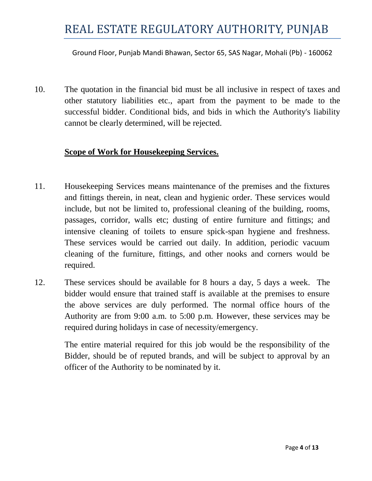Ground Floor, Punjab Mandi Bhawan, Sector 65, SAS Nagar, Mohali (Pb) - 160062

10. The quotation in the financial bid must be all inclusive in respect of taxes and other statutory liabilities etc., apart from the payment to be made to the successful bidder. Conditional bids, and bids in which the Authority's liability cannot be clearly determined, will be rejected.

### **Scope of Work for Housekeeping Services.**

- 11. Housekeeping Services means maintenance of the premises and the fixtures and fittings therein, in neat, clean and hygienic order. These services would include, but not be limited to, professional cleaning of the building, rooms, passages, corridor, walls etc; dusting of entire furniture and fittings; and intensive cleaning of toilets to ensure spick-span hygiene and freshness. These services would be carried out daily. In addition, periodic vacuum cleaning of the furniture, fittings, and other nooks and corners would be required.
- 12. These services should be available for 8 hours a day, 5 days a week. The bidder would ensure that trained staff is available at the premises to ensure the above services are duly performed. The normal office hours of the Authority are from 9:00 a.m. to 5:00 p.m. However, these services may be required during holidays in case of necessity/emergency.

The entire material required for this job would be the responsibility of the Bidder, should be of reputed brands, and will be subject to approval by an officer of the Authority to be nominated by it.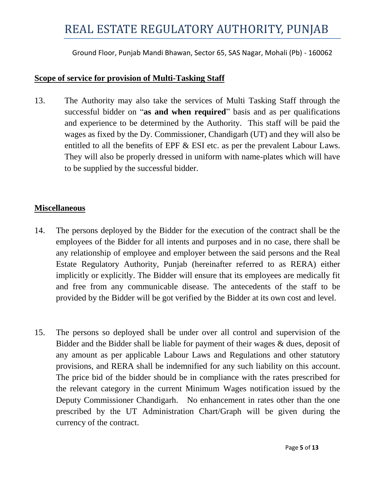Ground Floor, Punjab Mandi Bhawan, Sector 65, SAS Nagar, Mohali (Pb) - 160062

#### **Scope of service for provision of Multi-Tasking Staff**

13. The Authority may also take the services of Multi Tasking Staff through the successful bidder on "**as and when required**" basis and as per qualifications and experience to be determined by the Authority. This staff will be paid the wages as fixed by the Dy. Commissioner, Chandigarh (UT) and they will also be entitled to all the benefits of EPF & ESI etc. as per the prevalent Labour Laws. They will also be properly dressed in uniform with name-plates which will have to be supplied by the successful bidder.

### **Miscellaneous**

- 14. The persons deployed by the Bidder for the execution of the contract shall be the employees of the Bidder for all intents and purposes and in no case, there shall be any relationship of employee and employer between the said persons and the Real Estate Regulatory Authority, Punjab (hereinafter referred to as RERA) either implicitly or explicitly. The Bidder will ensure that its employees are medically fit and free from any communicable disease. The antecedents of the staff to be provided by the Bidder will be got verified by the Bidder at its own cost and level.
- 15. The persons so deployed shall be under over all control and supervision of the Bidder and the Bidder shall be liable for payment of their wages & dues, deposit of any amount as per applicable Labour Laws and Regulations and other statutory provisions, and RERA shall be indemnified for any such liability on this account. The price bid of the bidder should be in compliance with the rates prescribed for the relevant category in the current Minimum Wages notification issued by the Deputy Commissioner Chandigarh. No enhancement in rates other than the one prescribed by the UT Administration Chart/Graph will be given during the currency of the contract.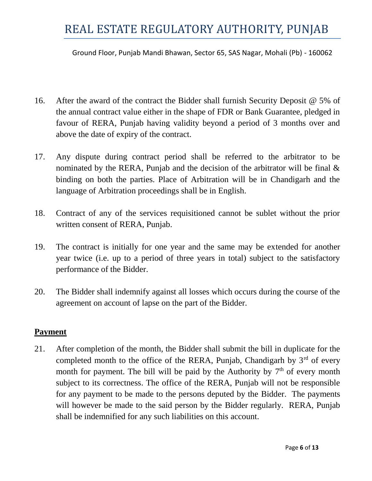Ground Floor, Punjab Mandi Bhawan, Sector 65, SAS Nagar, Mohali (Pb) - 160062

- 16. After the award of the contract the Bidder shall furnish Security Deposit @ 5% of the annual contract value either in the shape of FDR or Bank Guarantee, pledged in favour of RERA, Punjab having validity beyond a period of 3 months over and above the date of expiry of the contract.
- 17. Any dispute during contract period shall be referred to the arbitrator to be nominated by the RERA, Punjab and the decision of the arbitrator will be final & binding on both the parties. Place of Arbitration will be in Chandigarh and the language of Arbitration proceedings shall be in English.
- 18. Contract of any of the services requisitioned cannot be sublet without the prior written consent of RERA, Punjab.
- 19. The contract is initially for one year and the same may be extended for another year twice (i.e. up to a period of three years in total) subject to the satisfactory performance of the Bidder.
- 20. The Bidder shall indemnify against all losses which occurs during the course of the agreement on account of lapse on the part of the Bidder.

### **Payment**

21. After completion of the month, the Bidder shall submit the bill in duplicate for the completed month to the office of the RERA, Punjab, Chandigarh by  $3<sup>rd</sup>$  of every month for payment. The bill will be paid by the Authority by  $7<sup>th</sup>$  of every month subject to its correctness. The office of the RERA, Punjab will not be responsible for any payment to be made to the persons deputed by the Bidder. The payments will however be made to the said person by the Bidder regularly. RERA, Punjab shall be indemnified for any such liabilities on this account.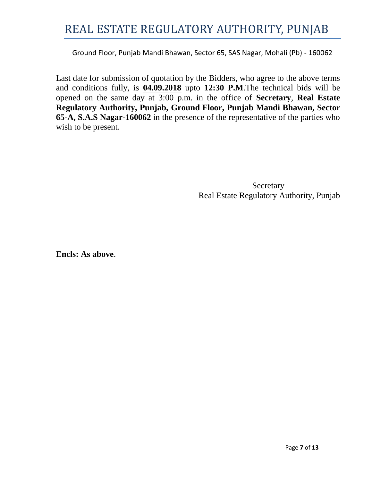Ground Floor, Punjab Mandi Bhawan, Sector 65, SAS Nagar, Mohali (Pb) - 160062

Last date for submission of quotation by the Bidders, who agree to the above terms and conditions fully, is **04.09.2018** upto **12:30 P.M**.The technical bids will be opened on the same day at 3:00 p.m. in the office of **Secretary**, **Real Estate Regulatory Authority, Punjab, Ground Floor, Punjab Mandi Bhawan, Sector 65-A, S.A.S Nagar-160062** in the presence of the representative of the parties who wish to be present.

> Secretary Real Estate Regulatory Authority, Punjab

**Encls: As above**.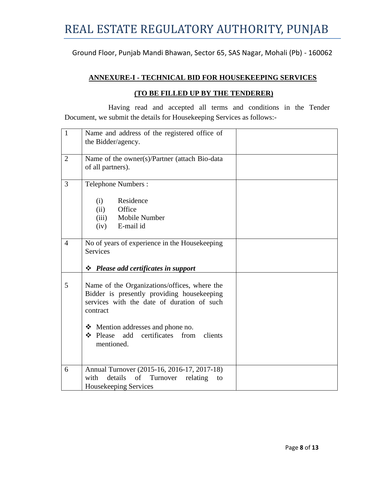Ground Floor, Punjab Mandi Bhawan, Sector 65, SAS Nagar, Mohali (Pb) - 160062

#### **ANNEXURE-I - TECHNICAL BID FOR HOUSEKEEPING SERVICES**

#### **(TO BE FILLED UP BY THE TENDERER)**

Having read and accepted all terms and conditions in the Tender Document, we submit the details for Housekeeping Services as follows:-

| $\mathbf{1}$   | Name and address of the registered office of<br>the Bidder/agency.                                                                                                                                                                                      |
|----------------|---------------------------------------------------------------------------------------------------------------------------------------------------------------------------------------------------------------------------------------------------------|
| $\overline{2}$ | Name of the owner(s)/Partner (attach Bio-data<br>of all partners).                                                                                                                                                                                      |
| 3              | <b>Telephone Numbers:</b><br>Residence<br>(i)<br>Office<br>(ii)<br>(iii) Mobile Number<br>E-mail id<br>(iv)                                                                                                                                             |
| $\overline{4}$ | No of years of experience in the Housekeeping<br><b>Services</b><br>$\div$ Please add certificates in support                                                                                                                                           |
| 5              | Name of the Organizations/offices, where the<br>Bidder is presently providing housekeeping<br>services with the date of duration of such<br>contract<br>$\div$ Mention addresses and phone no.<br>Please add certificates from<br>clients<br>mentioned. |
| 6              | Annual Turnover (2015-16, 2016-17, 2017-18)<br>details<br>of<br>Turnover<br>with<br>relating<br>to<br>Housekeeping Services                                                                                                                             |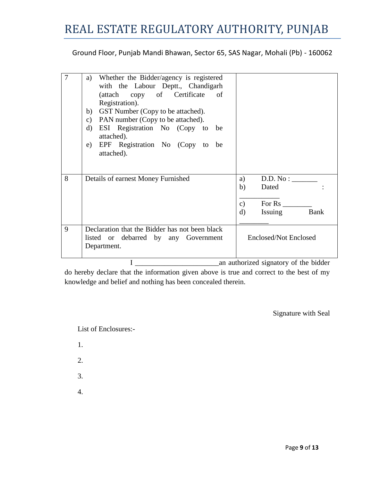Ground Floor, Punjab Mandi Bhawan, Sector 65, SAS Nagar, Mohali (Pb) - 160062

| 7 | a) Whether the Bidder/agency is registered<br>with the Labour Deptt., Chandigarh<br>(attach copy of Certificate of<br>Registration).<br>b) GST Number (Copy to be attached).<br>PAN number (Copy to be attached).<br>$\mathbf{c})$<br>ESI Registration No (Copy to be<br>d)<br>attached).<br>e) EPF Registration No (Copy to be<br>attached). |                                                                             |
|---|-----------------------------------------------------------------------------------------------------------------------------------------------------------------------------------------------------------------------------------------------------------------------------------------------------------------------------------------------|-----------------------------------------------------------------------------|
| 8 | Details of earnest Money Furnished                                                                                                                                                                                                                                                                                                            | D.D. No:<br>a)<br>b)<br>Dated<br>For Rs<br>c)<br>Bank<br>Issuing<br>$\rm d$ |
| 9 | Declaration that the Bidder has not been black<br>listed or debarred by any Government<br>Department.                                                                                                                                                                                                                                         | <b>Enclosed/Not Enclosed</b>                                                |

I \_\_\_\_\_\_\_\_\_\_\_\_\_\_\_\_\_\_\_\_\_\_\_an authorized signatory of the bidder

do hereby declare that the information given above is true and correct to the best of my knowledge and belief and nothing has been concealed therein.

Signature with Seal

List of Enclosures:-

- 1.
- 2.
- 
- 3.
- 4.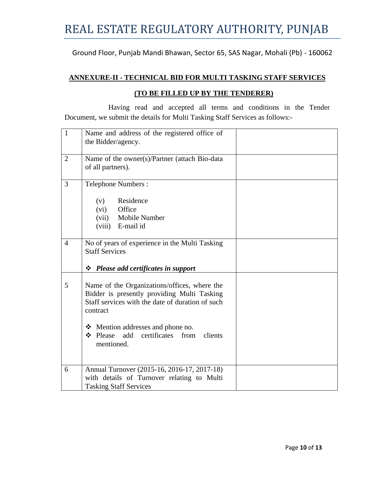Ground Floor, Punjab Mandi Bhawan, Sector 65, SAS Nagar, Mohali (Pb) - 160062

#### **ANNEXURE-II - TECHNICAL BID FOR MULTI TASKING STAFF SERVICES**

#### **(TO BE FILLED UP BY THE TENDERER)**

Having read and accepted all terms and conditions in the Tender Document, we submit the details for Multi Tasking Staff Services as follows:-

| $\mathbf{1}$   | Name and address of the registered office of<br>the Bidder/agency.                                                                                                                                                                                                       |
|----------------|--------------------------------------------------------------------------------------------------------------------------------------------------------------------------------------------------------------------------------------------------------------------------|
| $\overline{2}$ | Name of the owner(s)/Partner (attach Bio-data<br>of all partners).                                                                                                                                                                                                       |
| 3              | <b>Telephone Numbers:</b><br>Residence<br>(v)<br>(vi)<br>Office<br>(vii) Mobile Number<br>(viii) E-mail id                                                                                                                                                               |
| $\overline{4}$ | No of years of experience in the Multi Tasking<br><b>Staff Services</b><br>$\div$ Please add certificates in support                                                                                                                                                     |
| 5              | Name of the Organizations/offices, where the<br>Bidder is presently providing Multi Tasking<br>Staff services with the date of duration of such<br>contract<br>$\div$ Mention addresses and phone no.<br>$\div$ Please add certificates<br>from<br>clients<br>mentioned. |
| 6              | Annual Turnover (2015-16, 2016-17, 2017-18)<br>with details of Turnover relating to Multi<br><b>Tasking Staff Services</b>                                                                                                                                               |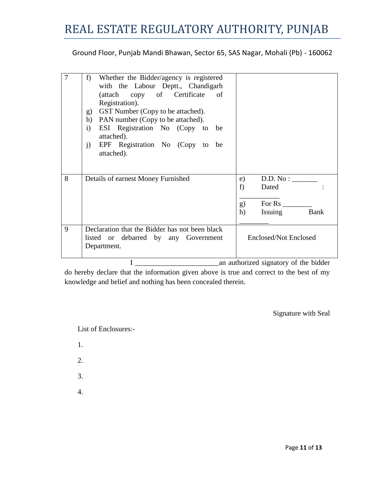Ground Floor, Punjab Mandi Bhawan, Sector 65, SAS Nagar, Mohali (Pb) - 160062

| 7 | Whether the Bidder/agency is registered<br>f)<br>with the Labour Deptt., Chandigarh<br>(attach copy of Certificate of<br>Registration).<br>GST Number (Copy to be attached).<br>g)<br>PAN number (Copy to be attached).<br>h)<br>ESI Registration No (Copy to be<br>$\mathbf{i}$<br>attached).<br>EPF Registration No (Copy to be<br>$j$ )<br>attached). |                                                                              |
|---|----------------------------------------------------------------------------------------------------------------------------------------------------------------------------------------------------------------------------------------------------------------------------------------------------------------------------------------------------------|------------------------------------------------------------------------------|
| 8 | Details of earnest Money Furnished                                                                                                                                                                                                                                                                                                                       | D.D. No:<br>e)<br>f<br>Dated<br>For Rs<br>g)<br><b>Bank</b><br>h)<br>Issuing |
| 9 | Declaration that the Bidder has not been black<br>listed or debarred by any Government<br>Department.                                                                                                                                                                                                                                                    | <b>Enclosed/Not Enclosed</b>                                                 |

I \_\_\_\_\_\_\_\_\_\_\_\_\_\_\_\_\_\_\_\_\_\_\_an authorized signatory of the bidder

do hereby declare that the information given above is true and correct to the best of my knowledge and belief and nothing has been concealed therein.

Signature with Seal

List of Enclosures:-

- 1.
- 2.
- 
- 3.
- 4.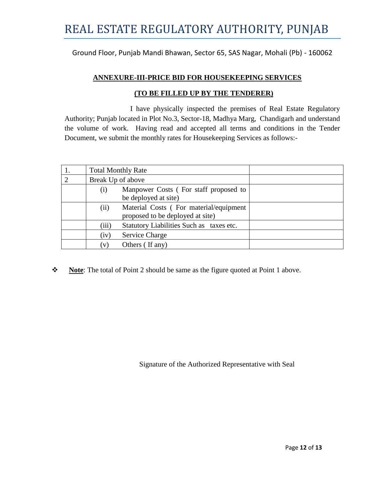Ground Floor, Punjab Mandi Bhawan, Sector 65, SAS Nagar, Mohali (Pb) - 160062

#### **ANNEXURE-III-PRICE BID FOR HOUSEKEEPING SERVICES**

#### **(TO BE FILLED UP BY THE TENDERER)**

I have physically inspected the premises of Real Estate Regulatory Authority; Punjab located in Plot No.3, Sector-18, Madhya Marg, Chandigarh and understand the volume of work. Having read and accepted all terms and conditions in the Tender Document, we submit the monthly rates for Housekeeping Services as follows:-

|          | <b>Total Monthly Rate</b> |                                                                            |  |
|----------|---------------------------|----------------------------------------------------------------------------|--|
| <u>ာ</u> | Break Up of above         |                                                                            |  |
|          | (i)                       | Manpower Costs (For staff proposed to<br>be deployed at site)              |  |
|          | (ii)                      | Material Costs (For material/equipment<br>proposed to be deployed at site) |  |
|          | (iii)                     | Statutory Liabilities Such as taxes etc.                                   |  |
|          | (iv)                      | Service Charge                                                             |  |
|          | (v)                       | Others (If any)                                                            |  |

**Note**: The total of Point 2 should be same as the figure quoted at Point 1 above.

Signature of the Authorized Representative with Seal